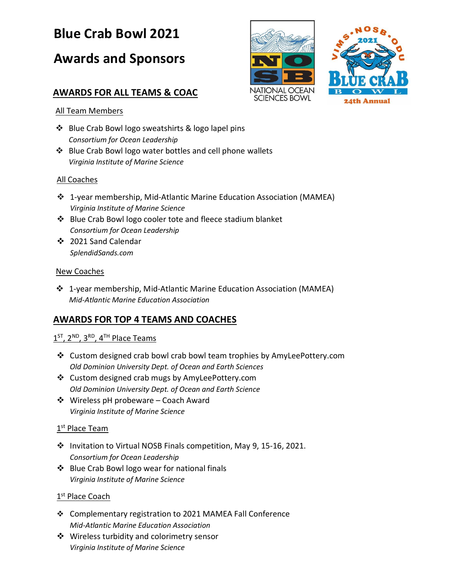# **Blue Crab Bowl 2021**

# **Awards and Sponsors**

## **AWARDS FOR ALL TEAMS & COAC**





### All Team Members

- ❖ Blue Crab Bowl logo sweatshirts & logo lapel pins *Consortium for Ocean Leadership*
- ❖ Blue Crab Bowl logo water bottles and cell phone wallets *Virginia Institute of Marine Science*

### All Coaches

- ❖ 1-year membership, Mid-Atlantic Marine Education Association (MAMEA) *Virginia Institute of Marine Science*
- ❖ Blue Crab Bowl logo cooler tote and fleece stadium blanket *Consortium for Ocean Leadership*
- ❖ 2021 Sand Calendar *SplendidSands.com*

#### New Coaches

❖ 1-year membership, Mid-Atlantic Marine Education Association (MAMEA) *Mid-Atlantic Marine Education Association*

## **AWARDS FOR TOP 4 TEAMS AND COACHES**

## $1<sup>ST</sup>, 2<sup>ND</sup>, 3<sup>RD</sup>, 4<sup>TH</sup> Place Teams$

- ❖ Custom designed crab bowl crab bowl team trophies by AmyLeePottery.com *Old Dominion University Dept. of Ocean and Earth Sciences*
- ❖ Custom designed crab mugs by AmyLeePottery.com *Old Dominion University Dept. of Ocean and Earth Science*
- ❖ Wireless pH probeware Coach Award *Virginia Institute of Marine Science*

### 1<sup>st</sup> Place Team

- ❖ Invitation to Virtual NOSB Finals competition, May 9, 15-16, 2021. *Consortium for Ocean Leadership*
- ❖ Blue Crab Bowl logo wear for national finals *Virginia Institute of Marine Science*

### 1<sup>st</sup> Place Coach

- ❖ Complementary registration to 2021 MAMEA Fall Conference *Mid-Atlantic Marine Education Association*
- ❖ Wireless turbidity and colorimetry sensor *Virginia Institute of Marine Science*